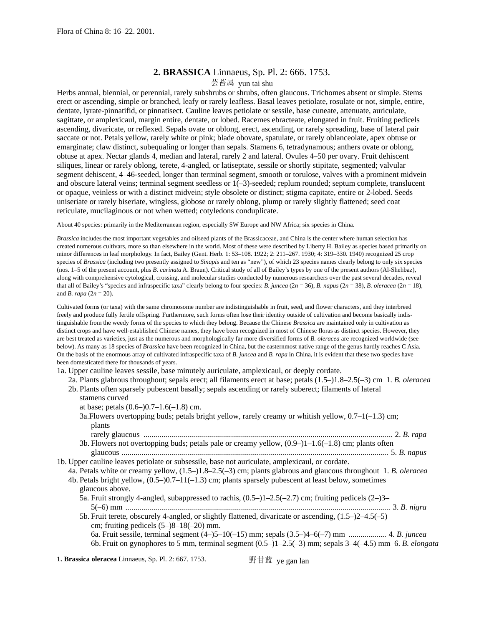# **2. BRASSICA** Linnaeus, Sp. Pl. 2: 666. 1753.

## 芸苔属 yun tai shu

Herbs annual, biennial, or perennial, rarely subshrubs or shrubs, often glaucous. Trichomes absent or simple. Stems erect or ascending, simple or branched, leafy or rarely leafless. Basal leaves petiolate, rosulate or not, simple, entire, dentate, lyrate-pinnatifid, or pinnatisect. Cauline leaves petiolate or sessile, base cuneate, attenuate, auriculate, sagittate, or amplexicaul, margin entire, dentate, or lobed. Racemes ebracteate, elongated in fruit. Fruiting pedicels ascending, divaricate, or reflexed. Sepals ovate or oblong, erect, ascending, or rarely spreading, base of lateral pair saccate or not. Petals yellow, rarely white or pink; blade obovate, spatulate, or rarely oblanceolate, apex obtuse or emarginate; claw distinct, subequaling or longer than sepals. Stamens 6, tetradynamous; anthers ovate or oblong, obtuse at apex. Nectar glands 4, median and lateral, rarely 2 and lateral. Ovules 4–50 per ovary. Fruit dehiscent siliques, linear or rarely oblong, terete, 4-angled, or latiseptate, sessile or shortly stipitate, segmented; valvular segment dehiscent, 4–46-seeded, longer than terminal segment, smooth or torulose, valves with a prominent midvein and obscure lateral veins; terminal segment seedless or 1(–3)-seeded; replum rounded; septum complete, translucent or opaque, veinless or with a distinct midvein; style obsolete or distinct; stigma capitate, entire or 2-lobed. Seeds uniseriate or rarely biseriate, wingless, globose or rarely oblong, plump or rarely slightly flattened; seed coat reticulate, mucilaginous or not when wetted; cotyledons conduplicate.

About 40 species: primarily in the Mediterranean region, especially SW Europe and NW Africa; six species in China.

*Brassica* includes the most important vegetables and oilseed plants of the Brassicaceae, and China is the center where human selection has created numerous cultivars, more so than elsewhere in the world. Most of these were described by Liberty H. Bailey as species based primarily on minor differences in leaf morphology. In fact, Bailey (Gent. Herb. 1: 53–108. 1922; 2: 211–267. 1930; 4: 319–330. 1940) recognized 25 crop species of *Brassica* (including two presently assigned to *Sinapis* and ten as "new"), of which 23 species names clearly belong to only six species (nos. 1–5 of the present account, plus *B. carinata* A. Braun). Critical study of all of Bailey's types by one of the present authors (Al-Shehbaz), along with comprehensive cytological, crossing, and molecular studies conducted by numerous researchers over the past several decades, reveal that all of Bailey's "species and infraspecific taxa" clearly belong to four species: *B. juncea* ( $2n = 36$ ), *B. napus* ( $2n = 38$ ), *B. oleracea* ( $2n = 18$ ), and *B. rapa* (2*n* = 20).

Cultivated forms (or taxa) with the same chromosome number are indistinguishable in fruit, seed, and flower characters, and they interbreed freely and produce fully fertile offspring. Furthermore, such forms often lose their identity outside of cultivation and become basically indistinguishable from the weedy forms of the species to which they belong. Because the Chinese *Brassica* are maintained only in cultivation as distinct crops and have well-established Chinese names, they have been recognized in most of Chinese floras as distinct species. However, they are best treated as varieties, just as the numerous and morphologically far more diversified forms of *B. oleracea* are recognized worldwide (see below). As many as 18 species of *Brassica* have been recognized in China, but the easternmost native range of the genus hardly reaches C Asia. On the basis of the enormous array of cultivated infraspecific taxa of *B. juncea* and *B. rapa* in China, it is evident that these two species have been domesticated there for thousands of years.

- 1a. Upper cauline leaves sessile, base minutely auriculate, amplexicaul, or deeply cordate.
	- 2a. Plants glabrous throughout; sepals erect; all filaments erect at base; petals (1.5–)1.8–2.5(–3) cm 1. *B. oleracea*
	- 2b. Plants often sparsely pubescent basally; sepals ascending or rarely suberect; filaments of lateral stamens curved
		- at base; petals (0.6–)0.7–1.6(–1.8) cm.
		- 3a. Flowers overtopping buds; petals bright yellow, rarely creamy or whitish yellow,  $0.7-1(-1.3)$  cm; plants
		- rarely glaucous ............................................................................................................................. 2. *B. rapa* 3b. Flowers not overtopping buds; petals pale or creamy yellow, (0.9–)1–1.6(–1.8) cm; plants often
- glaucous ...................................................................................................................................... 5. *B. napus* 1b. Upper cauline leaves petiolate or subsessile, base not auriculate, amplexicaul, or cordate.
	- 4a. Petals white or creamy yellow, (1.5–)1.8–2.5(–3) cm; plants glabrous and glaucous throughout 1. *B. oleracea*
	- 4b. Petals bright yellow,  $(0.5-0.7-11(-1.3)$  cm; plants sparsely pubescent at least below, sometimes glaucous above.
		- 5a. Fruit strongly 4-angled, subappressed to rachis,  $(0.5-11-2.5(-2.7)$  cm; fruiting pedicels  $(2-3-$ 5(–6) mm ..................................................................................................................................... 3. *B. nigra*
		- 5b. Fruit terete, obscurely 4-angled, or slightly flattened, divaricate or ascending, (1.5–)2–4.5(–5) cm; fruiting pedicels (5–)8–18(–20) mm.
			- 6a. Fruit sessile, terminal segment (4–)5–10(–15) mm; sepals (3.5–)4–6(–7) mm ................... 4. *B. juncea* 6b. Fruit on gynophores to 5 mm, terminal segment (0.5–)1–2.5(–3) mm; sepals 3–4(–4.5) mm 6. *B. elongata*

**1. Brassica oleracea** Linnaeus, Sp. Pl. 2: 667. 1753. 野甘蓝 ye gan lan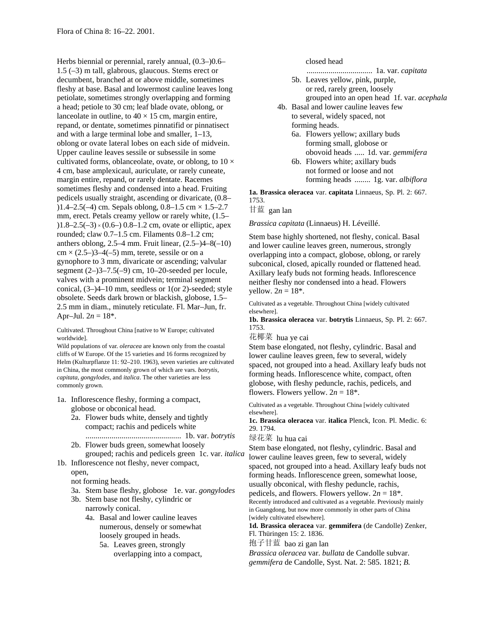Herbs biennial or perennial, rarely annual, (0.3–)0.6– 1.5 (–3) m tall, glabrous, glaucous. Stems erect or decumbent, branched at or above middle, sometimes fleshy at base. Basal and lowermost cauline leaves long petiolate, sometimes strongly overlapping and forming a head; petiole to 30 cm; leaf blade ovate, oblong, or lanceolate in outline, to  $40 \times 15$  cm, margin entire, repand, or dentate, sometimes pinnatifid or pinnatisect and with a large terminal lobe and smaller, 1–13, oblong or ovate lateral lobes on each side of midvein. Upper cauline leaves sessile or subsessile in some cultivated forms, oblanceolate, ovate, or oblong, to  $10 \times$ 4 cm, base amplexicaul, auriculate, or rarely cuneate, margin entire, repand, or rarely dentate. Racemes sometimes fleshy and condensed into a head. Fruiting pedicels usually straight, ascending or divaricate, (0.8– )1.4–2.5(–4) cm. Sepals oblong,  $0.8-1.5$  cm  $\times$  1.5–2.7 mm, erect. Petals creamy yellow or rarely white, (1.5– )1.8–2.5(–3) × (0.6–) 0.8–1.2 cm, ovate or elliptic, apex rounded; claw 0.7–1.5 cm. Filaments 0.8–1.2 cm; anthers oblong,  $2.5-4$  mm. Fruit linear,  $(2.5-4-8(-10))$  $cm \times (2.5-)3-4(-5)$  mm, terete, sessile or on a gynophore to 3 mm, divaricate or ascending; valvular segment  $(2-)3-7.5(-9)$  cm, 10-20-seeded per locule, valves with a prominent midvein; terminal segment conical, (3–)4–10 mm, seedless or 1(or 2)-seeded; style obsolete. Seeds dark brown or blackish, globose, 1.5– 2.5 mm in diam., minutely reticulate. Fl. Mar–Jun, fr. Apr–Jul.  $2n = 18^*$ .

Cultivated. Throughout China [native to W Europe; cultivated worldwide].

Wild populations of var. *oleracea* are known only from the coastal cliffs of W Europe. Of the 15 varieties and 16 forms recognized by Helm (Kulturpflanze 11: 92–210. 1963), seven varieties are cultivated in China, the most commonly grown of which are vars. *botrytis, capitata, gongylodes,* and *italica*. The other varieties are less commonly grown.

- 1a. Inflorescence fleshy, forming a compact, globose or obconical head.
	- 2a. Flower buds white, densely and tightly compact; rachis and pedicels white ................................................ 1b. var. *botrytis*
	- 2b. Flower buds green, somewhat loosely grouped; rachis and pedicels green 1c. var. *italica*
- 1b. Inflorescence not fleshy, never compact,

open,

not forming heads.

- 3a. Stem base fleshy, globose 1e. var. *gongylodes*
- 3b. Stem base not fleshy, cylindric or narrowly conical.
	- 4a. Basal and lower cauline leaves numerous, densely or somewhat loosely grouped in heads.

5a. Leaves green, strongly overlapping into a compact, closed head

................................. 1a. var. *capitata*

- 5b. Leaves yellow, pink, purple, or red, rarely green, loosely grouped into an open head 1f. var. *acephala*
- 4b. Basal and lower cauline leaves few to several, widely spaced, not forming heads.
	- 6a. Flowers yellow; axillary buds forming small, globose or obovoid heads ..... 1d. var. *gemmifera*
	- 6b. Flowers white; axillary buds not formed or loose and not forming heads ........ 1g. var. *albiflora*

**1a. Brassica oleracea** var. **capitata** Linnaeus, Sp. Pl. 2: 667. 1753.

甘蓝 gan lan

*Brassica capitata* (Linnaeus) H. Léveillé.

Stem base highly shortened, not fleshy, conical. Basal and lower cauline leaves green, numerous, strongly overlapping into a compact, globose, oblong, or rarely subconical, closed, apically rounded or flattened head. Axillary leafy buds not forming heads. Inflorescence neither fleshy nor condensed into a head. Flowers yellow.  $2n = 18^*$ .

Cultivated as a vegetable. Throughout China [widely cultivated elsewhere].

**1b. Brassica oleracea** var. **botrytis** Linnaeus, Sp. Pl. 2: 667. 1753.

花椰菜 hua ye cai

Stem base elongated, not fleshy, cylindric. Basal and lower cauline leaves green, few to several, widely spaced, not grouped into a head. Axillary leafy buds not forming heads. Inflorescence white, compact, often globose, with fleshy peduncle, rachis, pedicels, and flowers. Flowers yellow.  $2n = 18^*$ .

Cultivated as a vegetable. Throughout China [widely cultivated elsewhere].

**1c. Brassica oleracea** var. **italica** Plenck, Icon. Pl. Medic. 6: 29. 1794.

绿花菜 lu hua cai

Stem base elongated, not fleshy, cylindric. Basal and lower cauline leaves green, few to several, widely spaced, not grouped into a head. Axillary leafy buds not forming heads. Inflorescence green, somewhat loose, usually obconical, with fleshy peduncle, rachis,

pedicels, and flowers. Flowers yellow.  $2n = 18^*$ .

Recently introduced and cultivated as a vegetable. Previously mainly in Guangdong, but now more commonly in other parts of China [widely cultivated elsewhere].

**1d. Brassica oleracea** var. **gemmifera** (de Candolle) Zenker, Fl. Thüringen 15: 2. 1836.

抱子甘蓝 bao zi gan lan

*Brassica oleracea* var. *bullata* de Candolle subvar. *gemmifera* de Candolle, Syst. Nat. 2: 585. 1821; *B.*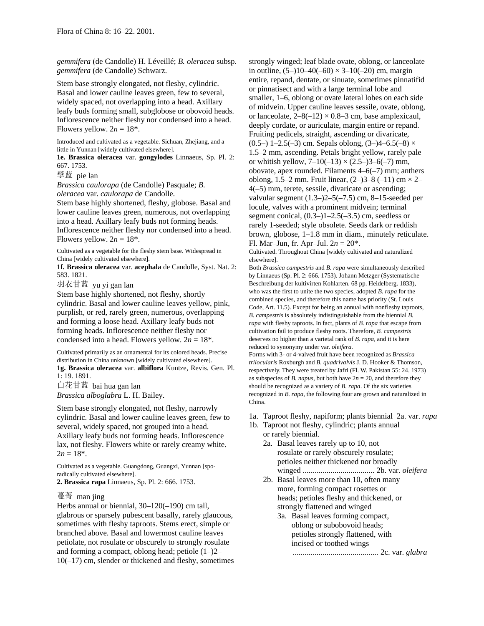*gemmifera* (de Candolle) H. Léveillé; *B. oleracea* subsp. *gemmifera* (de Candolle) Schwarz.

Stem base strongly elongated, not fleshy, cylindric. Basal and lower cauline leaves green, few to several, widely spaced, not overlapping into a head. Axillary leafy buds forming small, subglobose or obovoid heads. Inflorescence neither fleshy nor condensed into a head. Flowers yellow.  $2n = 18^*$ .

Introduced and cultivated as a vegetable. Sichuan, Zhejiang, and a little in Yunnan [widely cultivated elsewhere].

**1e. Brassica oleracea** var. **gongylodes** Linnaeus, Sp. Pl. 2: 667. 1753.

擘蓝 pie lan

*Brassica caulorapa* (de Candolle) Pasquale; *B.* 

*oleracea* var. *caulorapa* de Candolle.

Stem base highly shortened, fleshy, globose. Basal and lower cauline leaves green, numerous, not overlapping into a head. Axillary leafy buds not forming heads. Inflorescence neither fleshy nor condensed into a head. Flowers yellow.  $2n = 18^*$ .

Cultivated as a vegetable for the fleshy stem base. Widespread in China [widely cultivated elsewhere].

**1f. Brassica oleracea** var. **acephala** de Candolle, Syst. Nat. 2: 583. 1821.

羽衣甘蓝 yu yi gan lan

Stem base highly shortened, not fleshy, shortly cylindric. Basal and lower cauline leaves yellow, pink, purplish, or red, rarely green, numerous, overlapping and forming a loose head. Axillary leafy buds not forming heads. Inflorescence neither fleshy nor condensed into a head. Flowers yellow.  $2n = 18^*$ .

Cultivated primarily as an ornamental for its colored heads. Precise distribution in China unknown [widely cultivated elsewhere]. **1g. Brassica oleracea** var. **albiflora** Kuntze, Revis. Gen. Pl. 1: 19. 1891.

白花甘蓝 bai hua gan lan *Brassica alboglabra* L. H. Bailey.

Stem base strongly elongated, not fleshy, narrowly cylindric. Basal and lower cauline leaves green, few to several, widely spaced, not grouped into a head. Axillary leafy buds not forming heads. Inflorescence lax, not fleshy. Flowers white or rarely creamy white.  $2n = 18^*$ .

Cultivated as a vegetable. Guangdong, Guangxi, Yunnan [sporadically cultivated elsewhere]. **2. Brassica rapa** Linnaeus, Sp. Pl. 2: 666. 1753.

## 蔓菁 man jing

Herbs annual or biennial, 30–120(–190) cm tall, glabrous or sparsely pubescent basally, rarely glaucous, sometimes with fleshy taproots. Stems erect, simple or branched above. Basal and lowermost cauline leaves petiolate, not rosulate or obscurely to strongly rosulate and forming a compact, oblong head; petiole  $(1-2)$ <sup>-</sup> 10(–17) cm, slender or thickened and fleshy, sometimes strongly winged; leaf blade ovate, oblong, or lanceolate in outline,  $(5-110-40(-60) \times 3-10(-20)$  cm, margin entire, repand, dentate, or sinuate, sometimes pinnatifid or pinnatisect and with a large terminal lobe and smaller, 1–6, oblong or ovate lateral lobes on each side of midvein. Upper cauline leaves sessile, ovate, oblong, or lanceolate,  $2-8(-12) \times 0.8-3$  cm, base amplexicaul, deeply cordate, or auriculate, margin entire or repand. Fruiting pedicels, straight, ascending or divaricate, (0.5–) 1–2.5(–3) cm. Sepals oblong,  $(3–)4–6.5(-8) \times$ 1.5–2 mm, ascending. Petals bright yellow, rarely pale or whitish yellow,  $7-10(-13) \times (2.5-3-6(-7)$  mm, obovate, apex rounded. Filaments  $4-6(-7)$  mm; anthers oblong, 1.5–2 mm. Fruit linear,  $(2-)3-8$  (-11) cm  $\times$  2– 4(–5) mm, terete, sessile, divaricate or ascending; valvular segment (1.3–)2–5(–7.5) cm, 8–15-seeded per locule, valves with a prominent midvein; terminal segment conical,  $(0.3-11-2.5(-3.5))$  cm, seedless or rarely 1-seeded; style obsolete. Seeds dark or reddish brown, globose, 1–1.8 mm in diam., minutely reticulate. Fl. Mar–Jun, fr. Apr–Jul. 2*n* = 20\*.

Cultivated. Throughout China [widely cultivated and naturalized elsewhere].

Both *Brassica campestris* and *B. rapa* were simultaneously described by Linnaeus (Sp. Pl. 2: 666. 1753). Johann Metzger (Systematische Beschreibung der kultivirten Kohlarten. 68 pp. Heidelberg. 1833), who was the first to unite the two species, adopted *B. rapa* for the combined species, and therefore this name has priority (St. Louis Code, Art. 11.5). Except for being an annual with nonfleshy taproots, *B. campestris* is absolutely indistinguishable from the biennial *B. rapa* with fleshy taproots. In fact, plants of *B. rapa* that escape from cultivation fail to produce fleshy roots. Therefore, *B. campestris* deserves no higher than a varietal rank of *B. rapa,* and it is here reduced to synonymy under var. *oleifera*.

Forms with 3- or 4-valved fruit have been recognized as *Brassica trilocularis* Roxburgh and *B. quadrivalvis* J. D. Hooker & Thomson, respectively. They were treated by Jafri (Fl. W. Pakistan 55: 24. 1973) as subspecies of *B. napus*, but both have  $2n = 20$ , and therefore they should be recognized as a variety of *B. rapa*. Of the six varieties recognized in *B. rapa,* the following four are grown and naturalized in China.

- 1a. Taproot fleshy, napiform; plants biennial 2a. var. *rapa*
- 1b. Taproot not fleshy, cylindric; plants annual or rarely biennial.
	- 2a. Basal leaves rarely up to 10, not rosulate or rarely obscurely rosulate; petioles neither thickened nor broadly winged .................................... 2b. var. *oleifera*
	- 2b. Basal leaves more than 10, often many more, forming compact rosettes or heads; petioles fleshy and thickened, or strongly flattened and winged
		- 3a. Basal leaves forming compact, oblong or subobovoid heads; petioles strongly flattened, with incised or toothed wings ........................................... 2c. var. *glabra*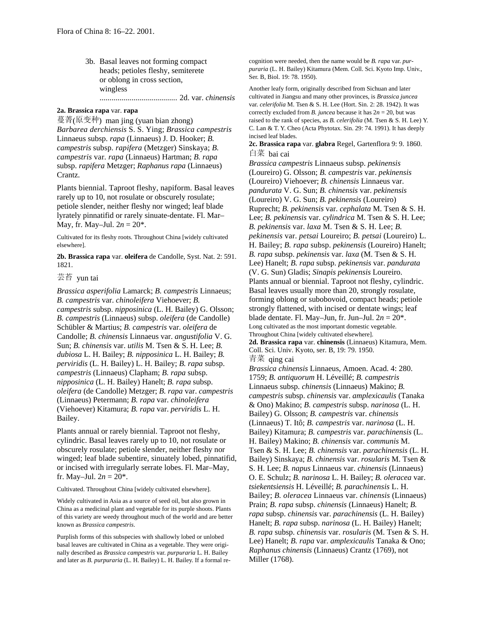3b. Basal leaves not forming compact heads; petioles fleshy, semiterete or oblong in cross section, wingless ....................................... 2d. var. *chinensis*

#### **2a. Brassica rapa** var. **rapa**

蔓菁(原变种) man jing (yuan bian zhong) *Barbarea derchiensis* S. S. Ying; *Brassica campestris* Linnaeus subsp. *rapa* (Linnaeus) J. D. Hooker; *B. campestris* subsp. *rapifera* (Metzger) Sinskaya; *B. campestris* var. *rapa* (Linnaeus) Hartman; *B. rapa* subsp. *rapifera* Metzger; *Raphanus rapa* (Linnaeus) Crantz.

Plants biennial. Taproot fleshy, napiform. Basal leaves rarely up to 10, not rosulate or obscurely rosulate; petiole slender, neither fleshy nor winged; leaf blade lyrately pinnatifid or rarely sinuate-dentate. Fl. Mar– May, fr. May–Jul.  $2n = 20^*$ .

Cultivated for its fleshy roots. Throughout China [widely cultivated elsewhere].

**2b. Brassica rapa** var. **oleifera** de Candolle, Syst. Nat. 2: 591. 1821.

芸苔 yun tai

*Brassica asperifolia* Lamarck; *B. campestris* Linnaeus; *B. campestris* var. *chinoleifera* Viehoever; *B. campestris* subsp. *nipposinica* (L. H. Bailey) G. Olsson; *B. campestris* (Linnaeus) subsp. *oleifera* (de Candolle) Schübler & Martius; *B. campestris* var. *oleifera* de Candolle; *B. chinensis* Linnaeus var. *angustifolia* V. G. Sun; *B. chinensis* var. *utilis* M. Tsen & S. H. Lee; *B. dubiosa* L. H. Bailey; *B. nipposinica* L. H. Bailey; *B. perviridis* (L. H. Bailey) L. H. Bailey; *B. rapa* subsp. *campestris* (Linnaeus) Clapham; *B. rapa* subsp. *nipposinica* (L. H. Bailey) Hanelt; *B. rapa* subsp. *oleifera* (de Candolle) Metzger; *B. rapa* var. *campestris* (Linnaeus) Petermann; *B. rapa* var. *chinoleifera* (Viehoever) Kitamura; *B. rapa* var. *perviridis* L. H. Bailey.

Plants annual or rarely biennial. Taproot not fleshy, cylindric. Basal leaves rarely up to 10, not rosulate or obscurely rosulate; petiole slender, neither fleshy nor winged; leaf blade subentire, sinuately lobed, pinnatifid, or incised with irregularly serrate lobes. Fl. Mar–May, fr. May–Jul.  $2n = 20^*$ .

Cultivated. Throughout China [widely cultivated elsewhere].

Widely cultivated in Asia as a source of seed oil, but also grown in China as a medicinal plant and vegetable for its purple shoots. Plants of this variety are weedy throughout much of the world and are better known as *Brassica campestris*.

Purplish forms of this subspecies with shallowly lobed or unlobed basal leaves are cultivated in China as a vegetable. They were originally described as *Brassica campestris* var. *purpuraria* L. H. Bailey and later as *B. purpuraria* (L. H. Bailey) L. H. Bailey. If a formal recognition were needed, then the name would be *B. rapa* var. *purpuraria* (L. H. Bailey) Kitamura (Mem. Coll. Sci. Kyoto Imp. Univ., Ser. B, Biol. 19: 78. 1950).

Another leafy form, originally described from Sichuan and later cultivated in Jiangsu and many other provinces, is *Brassica juncea* var. *celerifolia* M. Tsen & S. H. Lee (Hort. Sin. 2: 28. 1942). It was correctly excluded from *B. juncea* because it has  $2n = 20$ , but was raised to the rank of species, as *B. celerifolia* (M. Tsen & S. H. Lee) Y. C. Lan & T. Y. Cheo (Acta Phytotax. Sin. 29: 74. 1991). It has deeply incised leaf blades.

**2c. Brassica rapa** var. **glabra** Regel, Gartenflora 9: 9. 1860. 白菜 bai cai

*Brassica campestris* Linnaeus subsp. *pekinensis* (Loureiro) G. Olsson; *B. campestris* var. *pekinensis* (Loureiro) Viehoever; *B. chinensis* Linnaeus var. *pandurata* V. G. Sun; *B. chinensis* var. *pekinensis* (Loureiro) V. G. Sun; *B. pekinensis* (Loureiro) Ruprecht; *B. pekinensis* var. *cephalata* M. Tsen & S. H. Lee; *B. pekinensis* var. *cylindrica* M. Tsen & S. H. Lee; *B. pekinensis* var. *laxa* M. Tsen & S. H. Lee; *B. pekinensis* var. *petsai* Loureiro; *B. petsai* (Loureiro) L. H. Bailey; *B. rapa* subsp. *pekinensis* (Loureiro) Hanelt; *B. rapa* subsp. *pekinensis* var. *laxa* (M. Tsen & S. H. Lee) Hanelt; *B. rapa* subsp. *pekinensis* var. *pandurata* (V. G. Sun) Gladis; *Sinapis pekinensis* Loureiro. Plants annual or biennial. Taproot not fleshy, cylindric. Basal leaves usually more than 20, strongly rosulate, forming oblong or subobovoid, compact heads; petiole strongly flattened, with incised or dentate wings; leaf blade dentate. Fl. May–Jun, fr. Jun–Jul.  $2n = 20^*$ . Long cultivated as the most important domestic vegetable. Throughout China [widely cultivated elsewhere]. **2d. Brassica rapa** var. **chinensis** (Linnaeus) Kitamura, Mem.

Coll. Sci. Univ. Kyoto, ser. B, 19: 79. 1950. 青菜 qing cai

*Brassica chinensis* Linnaeus, Amoen. Acad. 4: 280. 1759; *B. antiquorum* H. Léveillé; *B. campestris* Linnaeus subsp. *chinensis* (Linnaeus) Makino; *B. campestris* subsp. *chinensis* var. *amplexicaulis* (Tanaka & Ono) Makino; *B. campestris* subsp. *narinosa* (L. H. Bailey) G. Olsson; *B. campestris* var. *chinensis* (Linnaeus) T. Itô; *B. campestris* var. *narinosa* (L. H. Bailey) Kitamura; *B. campestris* var. *parachinensis* (L. H. Bailey) Makino; *B. chinensis* var. *communis* M. Tsen & S. H. Lee; *B. chinensis* var. *parachinensis* (L. H. Bailey) Sinskaya; *B. chinensis* var. *rosularis* M. Tsen & S. H. Lee; *B. napus* Linnaeus var. *chinensis* (Linnaeus) O. E. Schulz; *B. narinosa* L. H. Bailey; *B. oleracea* var. *tsiekentsiensis* H. Léveillé; *B. parachinensis* L. H. Bailey; *B. oleracea* Linnaeus var. *chinensis* (Linnaeus) Prain; *B. rapa* subsp. *chinensis* (Linnaeus) Hanelt; *B. rapa* subsp. *chinensis* var. *parachinensis* (L. H. Bailey) Hanelt; *B. rapa* subsp. *narinosa* (L. H. Bailey) Hanelt; *B. rapa* subsp. *chinensis* var. *rosularis* (M. Tsen & S. H. Lee) Hanelt; *B. rapa* var. *amplexicaulis* Tanaka & Ono; *Raphanus chinensis* (Linnaeus) Crantz (1769), not Miller (1768).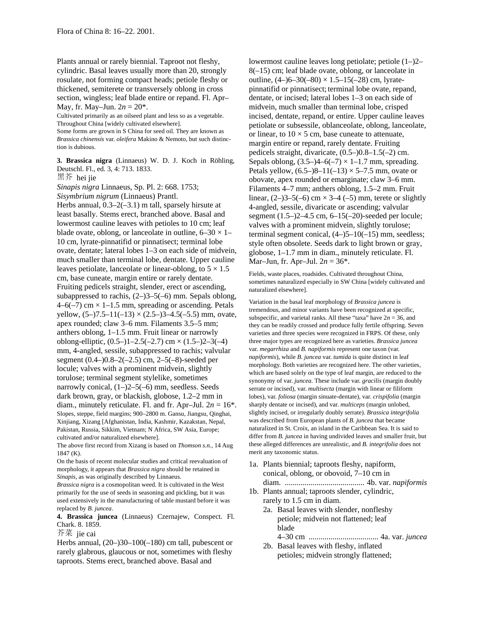Plants annual or rarely biennial. Taproot not fleshy, cylindric. Basal leaves usually more than 20, strongly rosulate, not forming compact heads; petiole fleshy or thickened, semiterete or transversely oblong in cross section, wingless; leaf blade entire or repand. Fl. Apr– May, fr. May–Jun.  $2n = 20^*$ .

Cultivated primarily as an oilseed plant and less so as a vegetable. Throughout China [widely cultivated elsewhere]. Some forms are grown in S China for seed oil. They are known as *Brassica chinensis* var. *oleifera* Makino & Nemoto, but such distinction is dubious.

**3. Brassica nigra** (Linnaeus) W. D. J. Koch in Röhling, Deutschl. Fl., ed. 3, 4: 713. 1833. 黑芥 hei jie

*Sinapis nigra* Linnaeus, Sp. Pl. 2: 668. 1753; *Sisymbrium nigrum* (Linnaeus) Prantl.

Herbs annual,  $0.3-2(-3.1)$  m tall, sparsely hirsute at least basally. Stems erect, branched above. Basal and lowermost cauline leaves with petioles to 10 cm; leaf blade ovate, oblong, or lanceolate in outline,  $6-30 \times 1-$ 10 cm, lyrate-pinnatifid or pinnatisect; terminal lobe ovate, dentate; lateral lobes 1–3 on each side of midvein, much smaller than terminal lobe, dentate. Upper cauline leaves petiolate, lanceolate or linear-oblong, to  $5 \times 1.5$ cm, base cuneate, margin entire or rarely dentate. Fruiting pedicels straight, slender, erect or ascending, subappressed to rachis,  $(2-)3-5(-6)$  mm. Sepals oblong,  $4-6(-7)$  cm  $\times$  1–1.5 mm, spreading or ascending. Petals yellow,  $(5-7.5-11(-13) \times (2.5-33-4.5(-5.5))$  mm, ovate, apex rounded; claw 3–6 mm. Filaments 3.5–5 mm; anthers oblong, 1–1.5 mm. Fruit linear or narrowly oblong-elliptic,  $(0.5-11-2.5(-2.7)$  cm  $\times$   $(1.5-23-3(-4))$ mm, 4-angled, sessile, subappressed to rachis; valvular segment (0.4–)0.8–2(–2.5) cm, 2–5(–8)-seeded per locule; valves with a prominent midvein, slightly torulose; terminal segment stylelike, sometimes narrowly conical, (1–)2–5(–6) mm, seedless. Seeds dark brown, gray, or blackish, globose, 1.2–2 mm in diam., minutely reticulate. Fl. and fr. Apr–Jul.  $2n = 16^*$ . Slopes, steppe, field margins; 900–2800 m. Gansu, Jiangsu, Qinghai, Xinjiang, Xizang [Afghanistan, India, Kashmir, Kazakstan, Nepal, Pakistan, Russia, Sikkim, Vietnam; N Africa, SW Asia, Europe; cultivated and/or naturalized elsewhere].

The above first record from Xizang is based on *Thomson s.n.,* 14 Aug 1847 (K).

On the basis of recent molecular studies and critical reevaluation of morphology, it appears that *Brassica nigra* should be retained in *Sinapis,* as was originally described by Linnaeus.

*Brassica nigra* is a cosmopolitan weed. It is cultivated in the West primarily for the use of seeds in seasoning and pickling, but it was used extensively in the manufacturing of table mustard before it was replaced by *B. juncea*.

**4. Brassica juncea** (Linnaeus) Czernajew, Conspect. Fl. Chark. 8. 1859.

芥菜 jie cai

Herbs annual, (20–)30–100(–180) cm tall, pubescent or rarely glabrous, glaucous or not, sometimes with fleshy taproots. Stems erect, branched above. Basal and

lowermost cauline leaves long petiolate; petiole (1–)2– 8(–15) cm; leaf blade ovate, oblong, or lanceolate in outline,  $(4-)6-30(-80) \times 1.5-15(-28)$  cm, lyratepinnatifid or pinnatisect; terminal lobe ovate, repand, dentate, or incised; lateral lobes 1–3 on each side of midvein, much smaller than terminal lobe, crisped incised, dentate, repand, or entire. Upper cauline leaves petiolate or subsessile, oblanceolate, oblong, lanceolate, or linear, to  $10 \times 5$  cm, base cuneate to attenuate, margin entire or repand, rarely dentate. Fruiting pedicels straight, divaricate, (0.5–)0.8–1.5(–2) cm. Sepals oblong,  $(3.5-4-6(-7) \times 1-1.7 \text{ mm})$ , spreading. Petals yellow,  $(6.5-8-11(-13) \times 5-7.5$  mm, ovate or obovate, apex rounded or emarginate; claw 3–6 mm. Filaments 4–7 mm; anthers oblong, 1.5–2 mm. Fruit linear,  $(2-)3-5(-6)$  cm  $\times$  3-4 (-5) mm, terete or slightly 4-angled, sessile, divaricate or ascending; valvular segment  $(1.5-24.5 \text{ cm}, 6-15(-20))$ -seeded per locule; valves with a prominent midvein, slightly torulose; terminal segment conical, (4–)5–10(–15) mm, seedless; style often obsolete. Seeds dark to light brown or gray, globose, 1–1.7 mm in diam., minutely reticulate. Fl. Mar–Jun, fr. Apr–Jul. 2*n* = 36\*.

Fields, waste places, roadsides. Cultivated throughout China, sometimes naturalized especially in SW China [widely cultivated and naturalized elsewhere].

Variation in the basal leaf morphology of *Brassica juncea* is tremendous, and minor variants have been recognized at specific, subspecific, and varietal ranks. All these "taxa" have  $2n = 36$ , and they can be readily crossed and produce fully fertile offspring. Seven varieties and three species were recognized in FRPS. Of these, only three major types are recognized here as varieties. *Brassica juncea* var. *megarrhiza* and *B. napiformis* represent one taxon (var. *napiformis*), while *B. juncea* var. *tumida* is quite distinct in leaf morphology. Both varieties are recognized here. The other varieties, which are based solely on the type of leaf margin, are reduced to the synonymy of var. *juncea*. These include var. *gracilis* (margin doubly serrate or incised), var. *multisecta* (margin with linear or filiform lobes), var. *foliosa* (margin sinuate-dentate), var. *crispifolia* (margin sharply dentate or incised), and var. *multiceps* (margin unlobed, slightly incised, or irregularly doubly serrate). *Brassica integrifolia* was described from European plants of *B. juncea* that became naturalized in St. Croix, an island in the Caribbean Sea. It is said to differ from *B. juncea* in having undivided leaves and smaller fruit, but these alleged differences are unrealistic, and *B. integrifolia* does not merit any taxonomic status.

- 1a. Plants biennial; taproots fleshy, napiform, conical, oblong, or obovoid, 7–10 cm in diam. ........................................ 4b. var. *napiformis*
- 1b. Plants annual; taproots slender, cylindric, rarely to 1.5 cm in diam.
	- 2a. Basal leaves with slender, nonfleshy petiole; midvein not flattened; leaf blade 4–30 cm ................................... 4a. var. *juncea*
	- 2b. Basal leaves with fleshy, inflated petioles; midvein strongly flattened;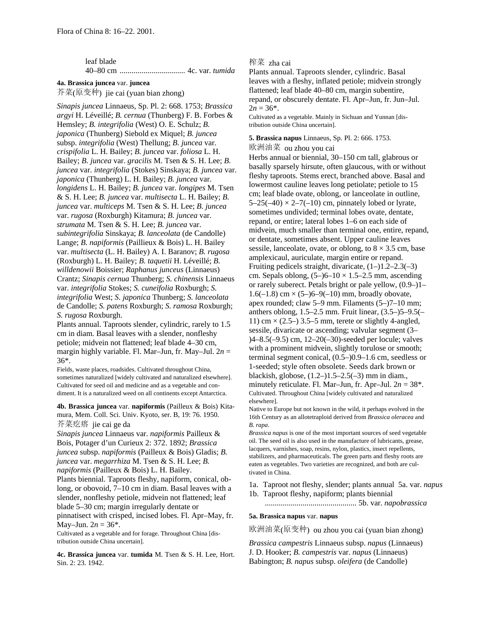| leaf blade |  |  |  |
|------------|--|--|--|
|            |  |  |  |

#### **4a. Brassica juncea** var. **juncea**

芥菜(原变种) jie cai (yuan bian zhong)

*Sinapis juncea* Linnaeus, Sp. Pl. 2: 668. 1753; *Brassica argyi* H. Léveillé; *B. cernua* (Thunberg) F. B. Forbes & Hemsley; *B. integrifolia* (West) O. E. Schulz; *B. japonica* (Thunberg) Siebold ex Miquel; *B. juncea* subsp. *integrifolia* (West) Thellung; *B. juncea* var. *crispifolia* L. H. Bailey; *B. juncea* var. *foliosa* L. H. Bailey; *B. juncea* var. *gracilis* M. Tsen & S. H. Lee; *B. juncea* var. *integrifolia* (Stokes) Sinskaya; *B. juncea* var. *japonica* (Thunberg) L. H. Bailey; *B. juncea* var. *longidens* L. H. Bailey; *B. juncea* var. *longipes* M. Tsen & S. H. Lee; *B. juncea* var. *multisecta* L. H. Bailey; *B. juncea* var. *multiceps* M. Tsen & S. H. Lee; *B. juncea* var. *rugosa* (Roxburgh) Kitamura; *B. juncea* var. *strumata* M. Tsen & S. H. Lee; *B. juncea* var. *subintegrifolia* Sinskaya; *B. lanceolata* (de Candolle) Lange; *B. napiformis* (Paillieux & Bois) L. H. Bailey var. *multisecta* (L. H. Bailey) A. I. Baranov; *B. rugosa* (Roxburgh) L. H. Bailey; *B. taquetii* H. Léveillé; *B. willdenowii* Boissier; *Raphanus junceus* (Linnaeus) Crantz; *Sinapis cernua* Thunberg; *S. chinensis* Linnaeus var. *integrifolia* Stokes; *S. cuneifolia* Roxburgh; *S. integrifolia* West; *S. japonica* Thunberg; *S. lanceolata* de Candolle; *S. patens* Roxburgh; *S. ramosa* Roxburgh; *S. rugosa* Roxburgh.

Plants annual. Taproots slender, cylindric, rarely to 1.5 cm in diam. Basal leaves with a slender, nonfleshy petiole; midvein not flattened; leaf blade 4–30 cm, margin highly variable. Fl. Mar–Jun, fr. May–Jul. 2*n* = 36\*.

Fields, waste places, roadsides. Cultivated throughout China, sometimes naturalized [widely cultivated and naturalized elsewhere]. Cultivated for seed oil and medicine and as a vegetable and condiment. It is a naturalized weed on all continents except Antarctica.

**4b. Brassica juncea** var. **napiformis** (Pailleux & Bois) Kitamura, Mem. Coll. Sci. Univ. Kyoto, ser. B, 19: 76. 1950. 芥菜疙瘩 jie cai ge da

*Sinapis juncea* Linnaeus var. *napiformis* Pailleux & Bois, Potager d'un Curieux 2: 372. 1892; *Brassica juncea* subsp. *napiformis* (Pailleux & Bois) Gladis; *B. juncea* var. *megarrhiza* M. Tsen & S. H. Lee; *B. napiformis* (Pailleux & Bois) L. H. Bailey. Plants biennial. Taproots fleshy, napiform, conical, oblong, or obovoid, 7–10 cm in diam. Basal leaves with a slender, nonfleshy petiole, midvein not flattened; leaf blade 5–30 cm; margin irregularly dentate or pinnatisect with crisped, incised lobes. Fl. Apr–May, fr.

May–Jun.  $2n = 36^*$ .

Cultivated as a vegetable and for forage. Throughout China [distribution outside China uncertain].

**4c. Brassica juncea** var. **tumida** M. Tsen & S. H. Lee, Hort. Sin. 2: 23. 1942.

## 榨菜 zha cai

Plants annual. Taproots slender, cylindric. Basal leaves with a fleshy, inflated petiole; midvein strongly flattened; leaf blade 40–80 cm, margin subentire, repand, or obscurely dentate. Fl. Apr–Jun, fr. Jun–Jul.  $2n = 36^*$ .

Cultivated as a vegetable. Mainly in Sichuan and Yunnan [distribution outside China uncertain].

## **5. Brassica napus** Linnaeus, Sp. Pl. 2: 666. 1753. 欧洲油菜 ou zhou you cai

Herbs annual or biennial, 30–150 cm tall, glabrous or basally sparsely hirsute, often glaucous, with or without fleshy taproots. Stems erect, branched above. Basal and lowermost cauline leaves long petiolate; petiole to 15 cm; leaf blade ovate, oblong, or lanceolate in outline,  $5-25(-40) \times 2-7(-10)$  cm, pinnately lobed or lyrate, sometimes undivided; terminal lobes ovate, dentate, repand, or entire; lateral lobes 1–6 on each side of midvein, much smaller than terminal one, entire, repand, or dentate, sometimes absent. Upper cauline leaves sessile, lanceolate, ovate, or oblong, to  $8 \times 3.5$  cm, base amplexicaul, auriculate, margin entire or repand. Fruiting pedicels straight, divaricate,  $(1-)1.2-2.3(-3)$ cm. Sepals oblong,  $(5-6-10 \times 1.5-2.5 \text{ mm})$ , ascending or rarely suberect. Petals bright or pale yellow, (0.9–)1–  $1.6(-1.8)$  cm  $\times$  (5–)6–9(–10) mm, broadly obovate, apex rounded; claw 5–9 mm. Filaments (5–)7–10 mm; anthers oblong, 1.5–2.5 mm. Fruit linear, (3.5–)5–9.5(– 11) cm  $\times$  (2.5–) 3.5–5 mm, terete or slightly 4-angled, sessile, divaricate or ascending; valvular segment (3– )4–8.5(–9.5) cm, 12–20(–30)-seeded per locule; valves with a prominent midvein, slightly torulose or smooth; terminal segment conical, (0.5–)0.9–1.6 cm, seedless or 1-seeded; style often obsolete. Seeds dark brown or blackish, globose,  $(1.2-)1.5-2.5(-3)$  mm in diam., minutely reticulate. Fl. Mar–Jun, fr. Apr–Jul.  $2n = 38^*$ . Cultivated. Throughout China [widely cultivated and naturalized elsewhere].

Native to Europe but not known in the wild, it perhaps evolved in the 16th Century as an allotetraploid derived from *Brassica oleracea* and *B. rapa*.

*Brassica napus* is one of the most important sources of seed vegetable oil. The seed oil is also used in the manufacture of lubricants, grease, lacquers, varnishes, soap, resins, nylon, plastics, insect repellents, stabilizers, and pharmaceuticals. The green parts and fleshy roots are eaten as vegetables. Two varieties are recognized, and both are cultivated in China.

1a. Taproot not fleshy, slender; plants annual 5a. var. *napus* 1b. Taproot fleshy, napiform; plants biennial

.............................................. 5b. var. *napobrassica*

### **5a. Brassica napus** var. **napus**

欧洲油菜(原变种) ou zhou you cai (yuan bian zhong)

*Brassica campestris* Linnaeus subsp. *napus* (Linnaeus) J. D. Hooker; *B. campestris* var. *napus* (Linnaeus) Babington; *B. napus* subsp. *oleifera* (de Candolle)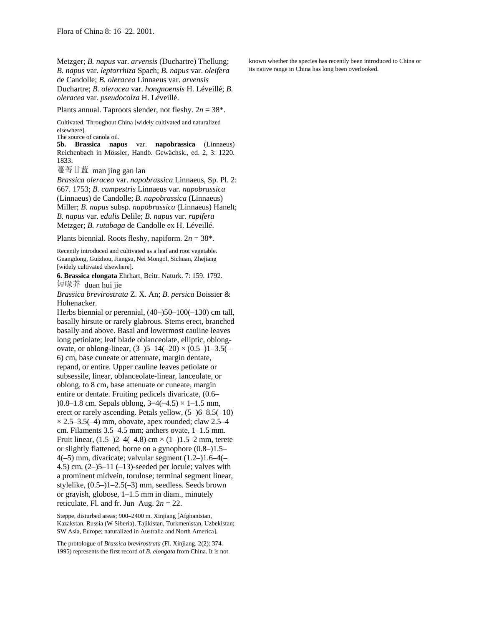Metzger; *B. napus* var. *arvensis* (Duchartre) Thellung; *B. napus* var. *leptorrhiza* Spach; *B. napus* var. *oleifera* de Candolle; *B. oleracea* Linnaeus var. *arvensis*

Duchartre; *B. oleracea* var. *hongnoensis* H. Léveillé; *B. oleracea* var. *pseudocolza* H. Léveillé.

Plants annual. Taproots slender, not fleshy. 2*n* = 38\*.

Cultivated. Throughout China [widely cultivated and naturalized elsewhere].

The source of canola oil.

**5b. Brassica napus** var. **napobrassica** (Linnaeus) Reichenbach in Mössler, Handb. Gewächsk., ed. 2, 3: 1220. 1833.

蔓菁甘蓝 man jing gan lan

*Brassica oleracea* var. *napobrassica* Linnaeus, Sp. Pl. 2: 667. 1753; *B. campestris* Linnaeus var. *napobrassica* (Linnaeus) de Candolle; *B. napobrassica* (Linnaeus) Miller; *B. napus* subsp. *napobrassica* (Linnaeus) Hanelt; *B. napus* var. *edulis* Delile; *B. napus* var. *rapifera* Metzger; *B. rutabaga* de Candolle ex H. Léveillé.

Plants biennial. Roots fleshy, napiform. 2*n* = 38\*.

Recently introduced and cultivated as a leaf and root vegetable. Guangdong, Guizhou, Jiangsu, Nei Mongol, Sichuan, Zhejiang [widely cultivated elsewhere].

**6. Brassica elongata** Ehrhart, Beitr. Naturk. 7: 159. 1792. 短喙芥 duan hui jie

*Brassica brevirostrata* Z. X. An; *B. persica* Boissier & Hohenacker.

Herbs biennial or perennial, (40–)50–100(–130) cm tall, basally hirsute or rarely glabrous. Stems erect, branched basally and above. Basal and lowermost cauline leaves long petiolate; leaf blade oblanceolate, elliptic, oblongovate, or oblong-linear,  $(3-)5-14(-20) \times (0.5-)1-3.5(-$ 6) cm, base cuneate or attenuate, margin dentate, repand, or entire. Upper cauline leaves petiolate or subsessile, linear, oblanceolate-linear, lanceolate, or oblong, to 8 cm, base attenuate or cuneate, margin entire or dentate. Fruiting pedicels divaricate, (0.6– )0.8–1.8 cm. Sepals oblong,  $3-4(-4.5) \times 1-1.5$  mm, erect or rarely ascending. Petals yellow, (5–)6–8.5(–10)  $\times$  2.5–3.5(–4) mm, obovate, apex rounded; claw 2.5–4 cm. Filaments 3.5–4.5 mm; anthers ovate, 1–1.5 mm. Fruit linear,  $(1.5-2-4(-4.8)$  cm  $\times$   $(1-1)1.5-2$  mm, terete or slightly flattened, borne on a gynophore (0.8–)1.5– 4(–5) mm, divaricate; valvular segment (1.2–)1.6–4(– 4.5) cm,  $(2-)5-11$   $(-13)$ -seeded per locule; valves with a prominent midvein, torulose; terminal segment linear, stylelike, (0.5–)1–2.5(–3) mm, seedless. Seeds brown or grayish, globose, 1–1.5 mm in diam., minutely reticulate. Fl. and fr. Jun–Aug.  $2n = 22$ .

Steppe, disturbed areas; 900–2400 m. Xinjiang [Afghanistan, Kazakstan, Russia (W Siberia), Tajikistan, Turkmenistan, Uzbekistan; SW Asia, Europe; naturalized in Australia and North America].

The protologue of *Brassica brevirostrata* (Fl. Xinjiang. 2(2): 374. 1995) represents the first record of *B. elongata* from China. It is not known whether the species has recently been introduced to China or its native range in China has long been overlooked.